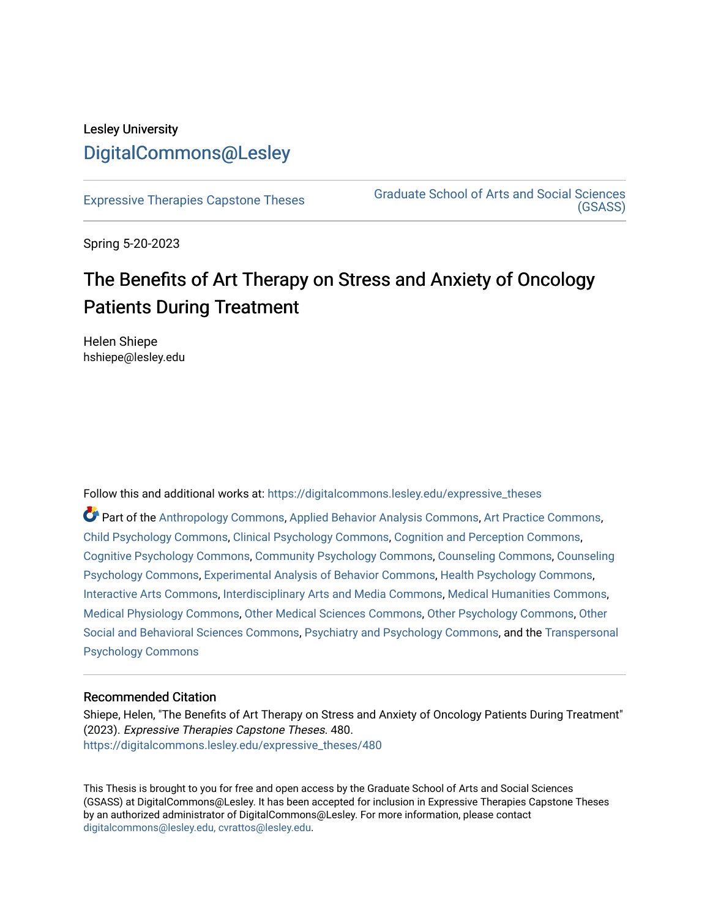## Lesley University [DigitalCommons@Lesley](https://digitalcommons.lesley.edu/)

[Expressive Therapies Capstone Theses](https://digitalcommons.lesley.edu/expressive_theses) Graduate School of Arts and Social Sciences [\(GSASS\)](https://digitalcommons.lesley.edu/gsass) 

Spring 5-20-2023

# The Benefits of Art Therapy on Stress and Anxiety of Oncology Patients During Treatment

Helen Shiepe hshiepe@lesley.edu

Follow this and additional works at: [https://digitalcommons.lesley.edu/expressive\\_theses](https://digitalcommons.lesley.edu/expressive_theses?utm_source=digitalcommons.lesley.edu%2Fexpressive_theses%2F480&utm_medium=PDF&utm_campaign=PDFCoverPages)

Part of the [Anthropology Commons](http://network.bepress.com/hgg/discipline/318?utm_source=digitalcommons.lesley.edu%2Fexpressive_theses%2F480&utm_medium=PDF&utm_campaign=PDFCoverPages), [Applied Behavior Analysis Commons](http://network.bepress.com/hgg/discipline/1235?utm_source=digitalcommons.lesley.edu%2Fexpressive_theses%2F480&utm_medium=PDF&utm_campaign=PDFCoverPages), [Art Practice Commons](http://network.bepress.com/hgg/discipline/509?utm_source=digitalcommons.lesley.edu%2Fexpressive_theses%2F480&utm_medium=PDF&utm_campaign=PDFCoverPages), [Child Psychology Commons,](http://network.bepress.com/hgg/discipline/1023?utm_source=digitalcommons.lesley.edu%2Fexpressive_theses%2F480&utm_medium=PDF&utm_campaign=PDFCoverPages) [Clinical Psychology Commons,](http://network.bepress.com/hgg/discipline/406?utm_source=digitalcommons.lesley.edu%2Fexpressive_theses%2F480&utm_medium=PDF&utm_campaign=PDFCoverPages) [Cognition and Perception Commons,](http://network.bepress.com/hgg/discipline/407?utm_source=digitalcommons.lesley.edu%2Fexpressive_theses%2F480&utm_medium=PDF&utm_campaign=PDFCoverPages) [Cognitive Psychology Commons,](http://network.bepress.com/hgg/discipline/408?utm_source=digitalcommons.lesley.edu%2Fexpressive_theses%2F480&utm_medium=PDF&utm_campaign=PDFCoverPages) [Community Psychology Commons](http://network.bepress.com/hgg/discipline/409?utm_source=digitalcommons.lesley.edu%2Fexpressive_theses%2F480&utm_medium=PDF&utm_campaign=PDFCoverPages), [Counseling Commons](http://network.bepress.com/hgg/discipline/1268?utm_source=digitalcommons.lesley.edu%2Fexpressive_theses%2F480&utm_medium=PDF&utm_campaign=PDFCoverPages), [Counseling](http://network.bepress.com/hgg/discipline/1044?utm_source=digitalcommons.lesley.edu%2Fexpressive_theses%2F480&utm_medium=PDF&utm_campaign=PDFCoverPages) [Psychology Commons,](http://network.bepress.com/hgg/discipline/1044?utm_source=digitalcommons.lesley.edu%2Fexpressive_theses%2F480&utm_medium=PDF&utm_campaign=PDFCoverPages) [Experimental Analysis of Behavior Commons](http://network.bepress.com/hgg/discipline/1236?utm_source=digitalcommons.lesley.edu%2Fexpressive_theses%2F480&utm_medium=PDF&utm_campaign=PDFCoverPages), [Health Psychology Commons](http://network.bepress.com/hgg/discipline/411?utm_source=digitalcommons.lesley.edu%2Fexpressive_theses%2F480&utm_medium=PDF&utm_campaign=PDFCoverPages), [Interactive Arts Commons](http://network.bepress.com/hgg/discipline/1136?utm_source=digitalcommons.lesley.edu%2Fexpressive_theses%2F480&utm_medium=PDF&utm_campaign=PDFCoverPages), [Interdisciplinary Arts and Media Commons,](http://network.bepress.com/hgg/discipline/1137?utm_source=digitalcommons.lesley.edu%2Fexpressive_theses%2F480&utm_medium=PDF&utm_campaign=PDFCoverPages) [Medical Humanities Commons](http://network.bepress.com/hgg/discipline/1303?utm_source=digitalcommons.lesley.edu%2Fexpressive_theses%2F480&utm_medium=PDF&utm_campaign=PDFCoverPages), [Medical Physiology Commons,](http://network.bepress.com/hgg/discipline/677?utm_source=digitalcommons.lesley.edu%2Fexpressive_theses%2F480&utm_medium=PDF&utm_campaign=PDFCoverPages) [Other Medical Sciences Commons](http://network.bepress.com/hgg/discipline/679?utm_source=digitalcommons.lesley.edu%2Fexpressive_theses%2F480&utm_medium=PDF&utm_campaign=PDFCoverPages), [Other Psychology Commons](http://network.bepress.com/hgg/discipline/415?utm_source=digitalcommons.lesley.edu%2Fexpressive_theses%2F480&utm_medium=PDF&utm_campaign=PDFCoverPages), [Other](http://network.bepress.com/hgg/discipline/437?utm_source=digitalcommons.lesley.edu%2Fexpressive_theses%2F480&utm_medium=PDF&utm_campaign=PDFCoverPages)  [Social and Behavioral Sciences Commons](http://network.bepress.com/hgg/discipline/437?utm_source=digitalcommons.lesley.edu%2Fexpressive_theses%2F480&utm_medium=PDF&utm_campaign=PDFCoverPages), [Psychiatry and Psychology Commons](http://network.bepress.com/hgg/discipline/908?utm_source=digitalcommons.lesley.edu%2Fexpressive_theses%2F480&utm_medium=PDF&utm_campaign=PDFCoverPages), and the [Transpersonal](http://network.bepress.com/hgg/discipline/1388?utm_source=digitalcommons.lesley.edu%2Fexpressive_theses%2F480&utm_medium=PDF&utm_campaign=PDFCoverPages)  [Psychology Commons](http://network.bepress.com/hgg/discipline/1388?utm_source=digitalcommons.lesley.edu%2Fexpressive_theses%2F480&utm_medium=PDF&utm_campaign=PDFCoverPages) 

#### Recommended Citation

Shiepe, Helen, "The Benefits of Art Therapy on Stress and Anxiety of Oncology Patients During Treatment" (2023). Expressive Therapies Capstone Theses. 480. [https://digitalcommons.lesley.edu/expressive\\_theses/480](https://digitalcommons.lesley.edu/expressive_theses/480?utm_source=digitalcommons.lesley.edu%2Fexpressive_theses%2F480&utm_medium=PDF&utm_campaign=PDFCoverPages)

This Thesis is brought to you for free and open access by the Graduate School of Arts and Social Sciences (GSASS) at DigitalCommons@Lesley. It has been accepted for inclusion in Expressive Therapies Capstone Theses by an authorized administrator of DigitalCommons@Lesley. For more information, please contact [digitalcommons@lesley.edu, cvrattos@lesley.edu](mailto:digitalcommons@lesley.edu,%20cvrattos@lesley.edu).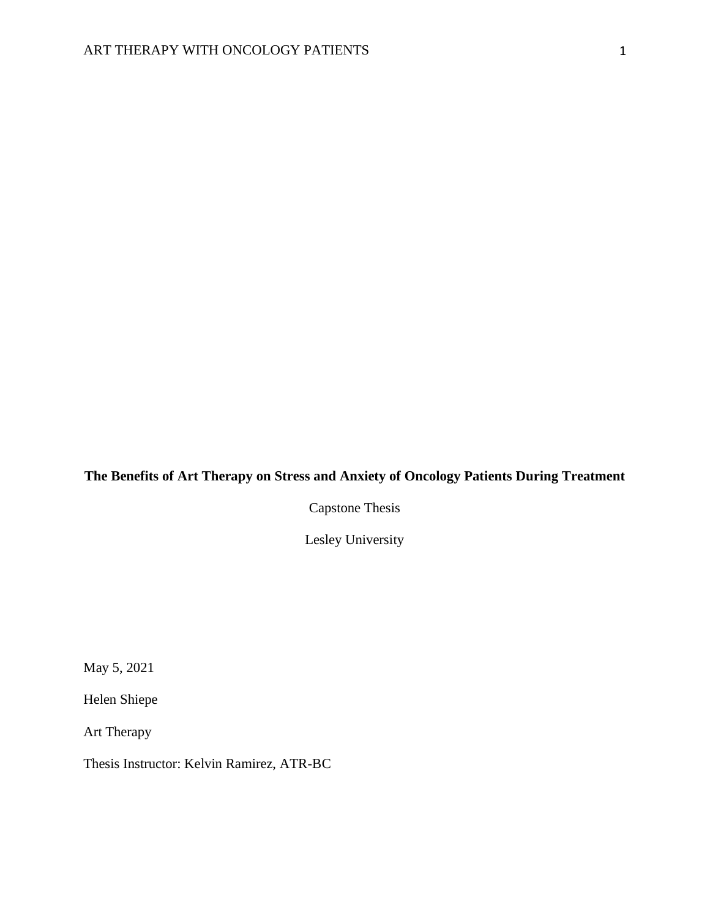### **The Benefits of Art Therapy on Stress and Anxiety of Oncology Patients During Treatment**

Capstone Thesis

Lesley University

May 5, 2021

Helen Shiepe

Art Therapy

Thesis Instructor: Kelvin Ramirez, ATR-BC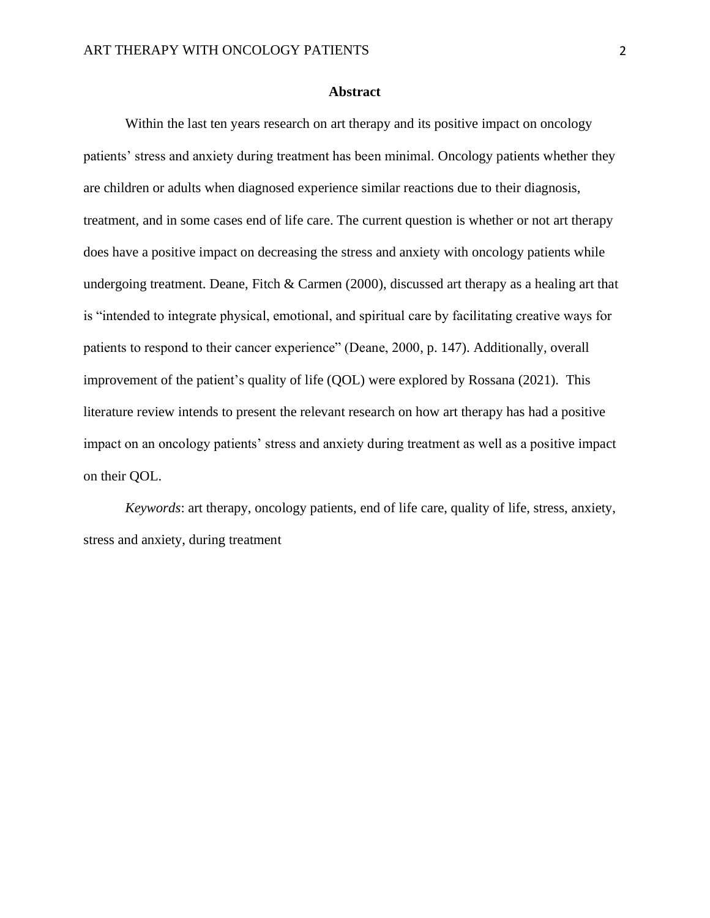#### **Abstract**

Within the last ten years research on art therapy and its positive impact on oncology patients' stress and anxiety during treatment has been minimal. Oncology patients whether they are children or adults when diagnosed experience similar reactions due to their diagnosis, treatment, and in some cases end of life care. The current question is whether or not art therapy does have a positive impact on decreasing the stress and anxiety with oncology patients while undergoing treatment. Deane, Fitch & Carmen (2000), discussed art therapy as a healing art that is "intended to integrate physical, emotional, and spiritual care by facilitating creative ways for patients to respond to their cancer experience" (Deane, 2000, p. 147). Additionally, overall improvement of the patient's quality of life (QOL) were explored by Rossana (2021). This literature review intends to present the relevant research on how art therapy has had a positive impact on an oncology patients' stress and anxiety during treatment as well as a positive impact on their QOL.

*Keywords*: art therapy, oncology patients, end of life care, quality of life, stress, anxiety, stress and anxiety, during treatment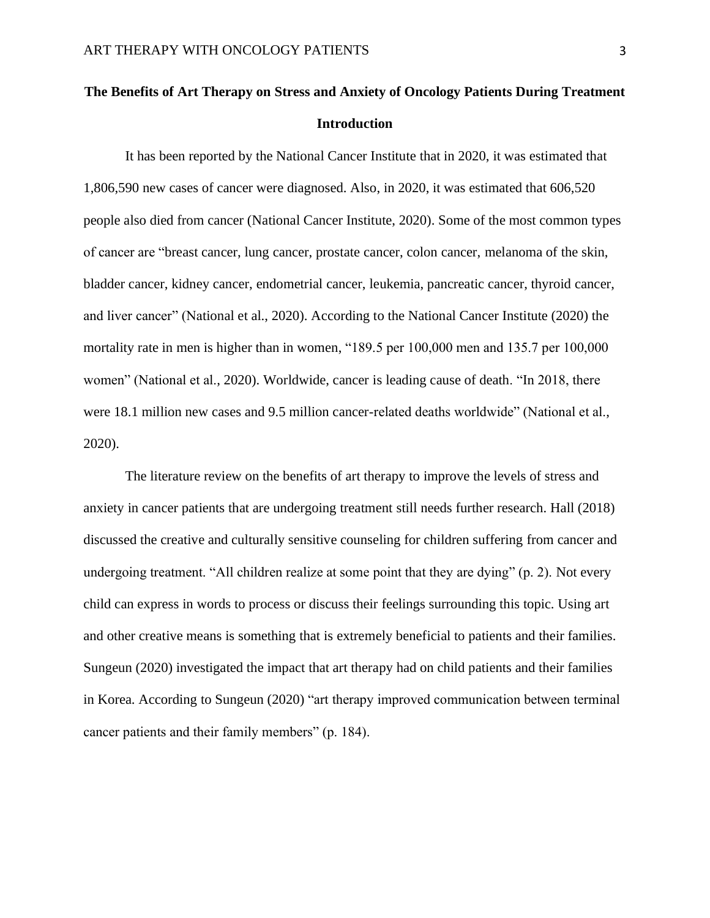## **The Benefits of Art Therapy on Stress and Anxiety of Oncology Patients During Treatment Introduction**

It has been reported by the National Cancer Institute that in 2020, it was estimated that 1,806,590 new cases of cancer were diagnosed. Also, in 2020, it was estimated that 606,520 people also died from cancer (National Cancer Institute, 2020). Some of the most common types of cancer are "breast cancer, lung cancer, prostate cancer, colon cancer, melanoma of the skin, bladder cancer, kidney cancer, endometrial cancer, leukemia, pancreatic cancer, thyroid cancer, and liver cancer" (National et al., 2020). According to the National Cancer Institute (2020) the mortality rate in men is higher than in women, "189.5 per 100,000 men and 135.7 per 100,000 women" (National et al., 2020). Worldwide, cancer is leading cause of death. "In 2018, there were 18.1 million new cases and 9.5 million cancer-related deaths worldwide" (National et al., 2020).

The literature review on the benefits of art therapy to improve the levels of stress and anxiety in cancer patients that are undergoing treatment still needs further research. Hall (2018) discussed the creative and culturally sensitive counseling for children suffering from cancer and undergoing treatment. "All children realize at some point that they are dying" (p. 2). Not every child can express in words to process or discuss their feelings surrounding this topic. Using art and other creative means is something that is extremely beneficial to patients and their families. Sungeun (2020) investigated the impact that art therapy had on child patients and their families in Korea. According to Sungeun (2020) "art therapy improved communication between terminal cancer patients and their family members" (p. 184).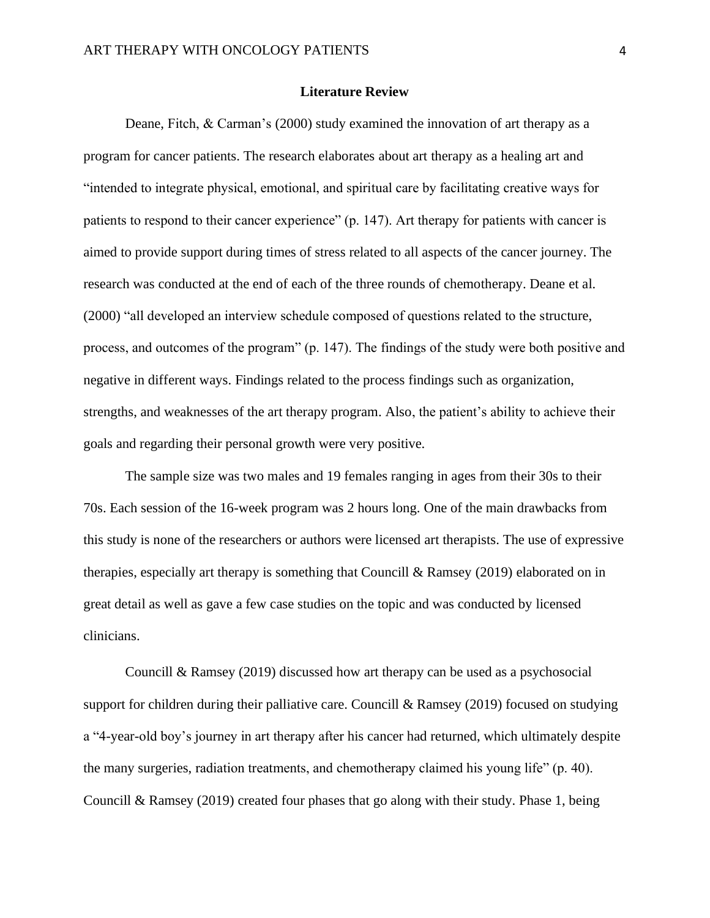#### **Literature Review**

Deane, Fitch, & Carman's (2000) study examined the innovation of art therapy as a program for cancer patients. The research elaborates about art therapy as a healing art and "intended to integrate physical, emotional, and spiritual care by facilitating creative ways for patients to respond to their cancer experience" (p. 147). Art therapy for patients with cancer is aimed to provide support during times of stress related to all aspects of the cancer journey. The research was conducted at the end of each of the three rounds of chemotherapy. Deane et al. (2000) "all developed an interview schedule composed of questions related to the structure, process, and outcomes of the program" (p. 147). The findings of the study were both positive and negative in different ways. Findings related to the process findings such as organization, strengths, and weaknesses of the art therapy program. Also, the patient's ability to achieve their goals and regarding their personal growth were very positive.

The sample size was two males and 19 females ranging in ages from their 30s to their 70s. Each session of the 16-week program was 2 hours long. One of the main drawbacks from this study is none of the researchers or authors were licensed art therapists. The use of expressive therapies, especially art therapy is something that Councill & Ramsey (2019) elaborated on in great detail as well as gave a few case studies on the topic and was conducted by licensed clinicians.

Councill & Ramsey (2019) discussed how art therapy can be used as a psychosocial support for children during their palliative care. Councill & Ramsey (2019) focused on studying a "4-year-old boy's journey in art therapy after his cancer had returned, which ultimately despite the many surgeries, radiation treatments, and chemotherapy claimed his young life" (p. 40). Councill & Ramsey (2019) created four phases that go along with their study. Phase 1, being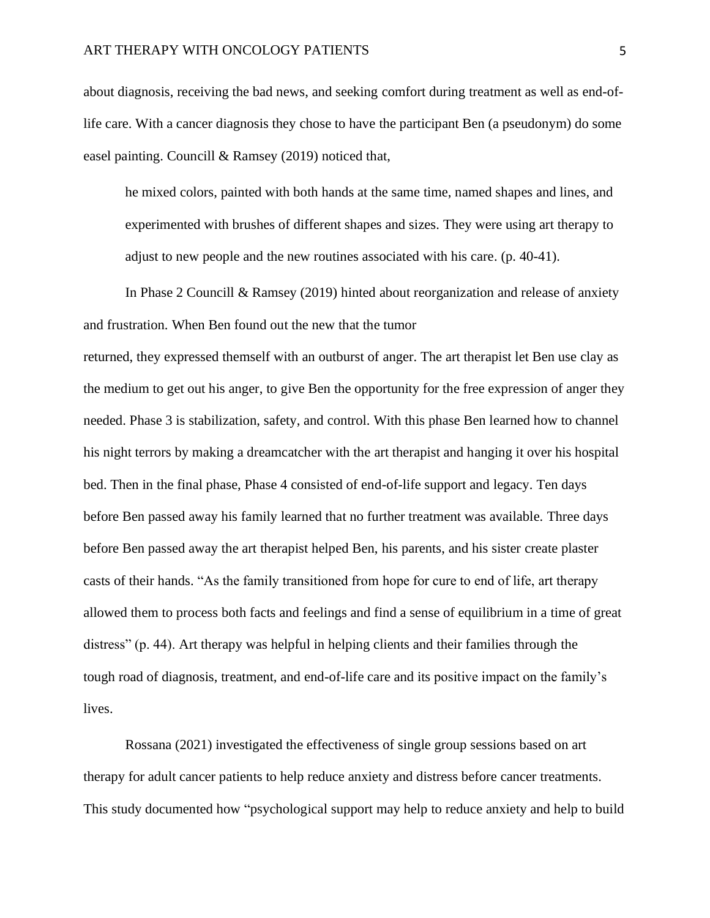about diagnosis, receiving the bad news, and seeking comfort during treatment as well as end-oflife care. With a cancer diagnosis they chose to have the participant Ben (a pseudonym) do some easel painting. Councill & Ramsey (2019) noticed that,

he mixed colors, painted with both hands at the same time, named shapes and lines, and experimented with brushes of different shapes and sizes. They were using art therapy to adjust to new people and the new routines associated with his care. (p. 40-41).

In Phase 2 Councill & Ramsey (2019) hinted about reorganization and release of anxiety and frustration. When Ben found out the new that the tumor

returned, they expressed themself with an outburst of anger. The art therapist let Ben use clay as the medium to get out his anger, to give Ben the opportunity for the free expression of anger they needed. Phase 3 is stabilization, safety, and control. With this phase Ben learned how to channel his night terrors by making a dreamcatcher with the art therapist and hanging it over his hospital bed. Then in the final phase, Phase 4 consisted of end-of-life support and legacy. Ten days before Ben passed away his family learned that no further treatment was available. Three days before Ben passed away the art therapist helped Ben, his parents, and his sister create plaster casts of their hands. "As the family transitioned from hope for cure to end of life, art therapy allowed them to process both facts and feelings and find a sense of equilibrium in a time of great distress" (p. 44). Art therapy was helpful in helping clients and their families through the tough road of diagnosis, treatment, and end-of-life care and its positive impact on the family's lives.

Rossana (2021) investigated the effectiveness of single group sessions based on art therapy for adult cancer patients to help reduce anxiety and distress before cancer treatments. This study documented how "psychological support may help to reduce anxiety and help to build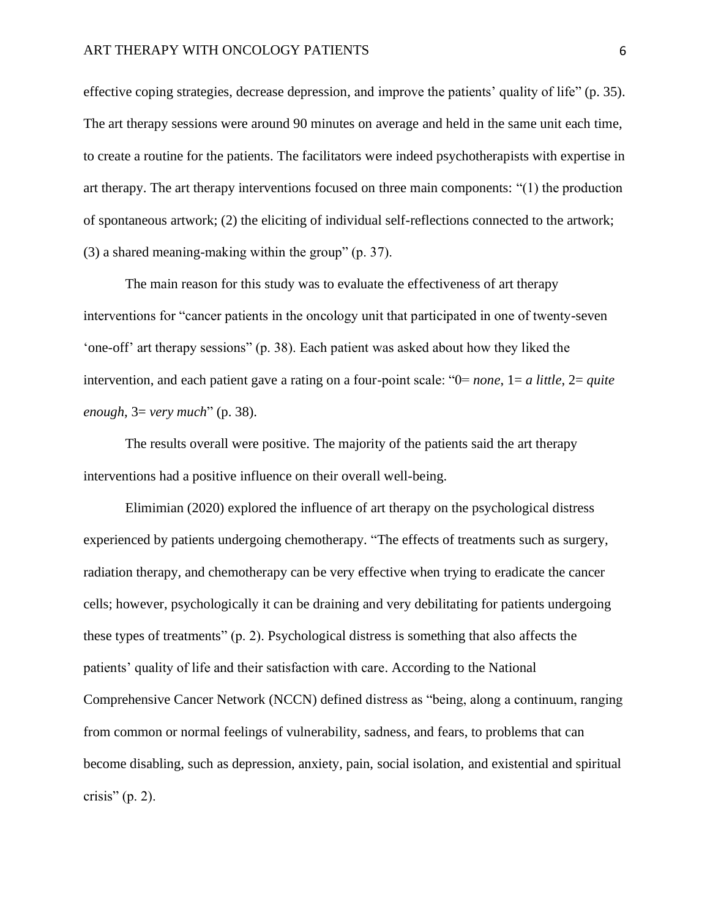effective coping strategies, decrease depression, and improve the patients' quality of life" (p. 35). The art therapy sessions were around 90 minutes on average and held in the same unit each time, to create a routine for the patients. The facilitators were indeed psychotherapists with expertise in art therapy. The art therapy interventions focused on three main components: "(1) the production of spontaneous artwork; (2) the eliciting of individual self-reflections connected to the artwork; (3) a shared meaning-making within the group" (p. 37).

The main reason for this study was to evaluate the effectiveness of art therapy interventions for "cancer patients in the oncology unit that participated in one of twenty-seven 'one-off' art therapy sessions" (p. 38). Each patient was asked about how they liked the intervention, and each patient gave a rating on a four-point scale: "0= *none*, 1= *a little*, 2= *quite enough*, 3= *very much*" (p. 38).

The results overall were positive. The majority of the patients said the art therapy interventions had a positive influence on their overall well-being.

Elimimian (2020) explored the influence of art therapy on the psychological distress experienced by patients undergoing chemotherapy. "The effects of treatments such as surgery, radiation therapy, and chemotherapy can be very effective when trying to eradicate the cancer cells; however, psychologically it can be draining and very debilitating for patients undergoing these types of treatments" (p. 2). Psychological distress is something that also affects the patients' quality of life and their satisfaction with care. According to the National Comprehensive Cancer Network (NCCN) defined distress as "being, along a continuum, ranging from common or normal feelings of vulnerability, sadness, and fears, to problems that can become disabling, such as depression, anxiety, pain, social isolation, and existential and spiritual crisis"  $(p. 2)$ .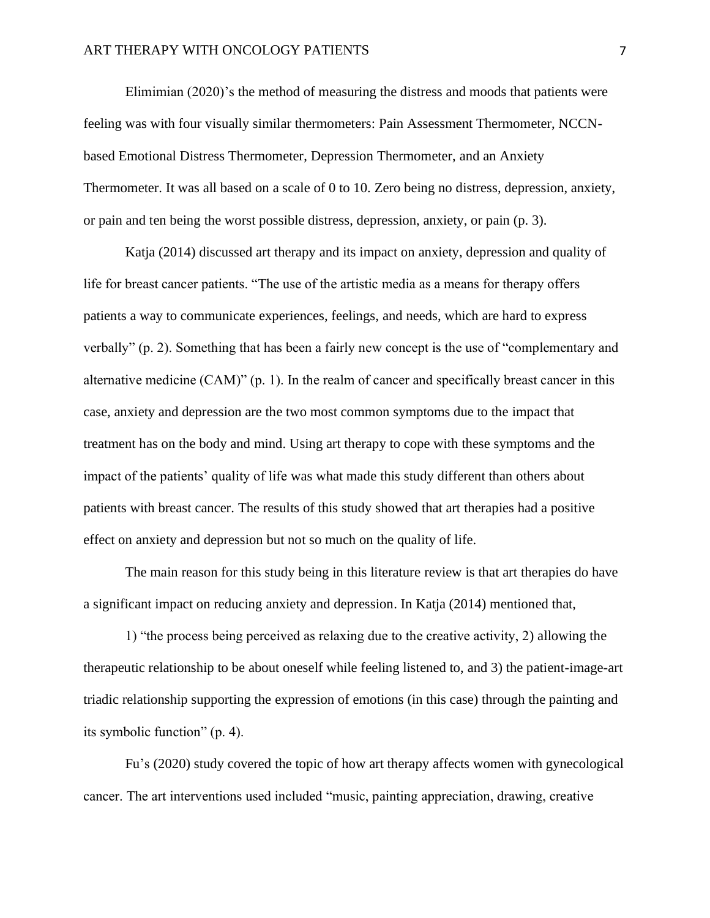#### ART THERAPY WITH ONCOLOGY PATIENTS  $\overline{7}$

Elimimian (2020)'s the method of measuring the distress and moods that patients were feeling was with four visually similar thermometers: Pain Assessment Thermometer, NCCNbased Emotional Distress Thermometer, Depression Thermometer, and an Anxiety Thermometer. It was all based on a scale of 0 to 10. Zero being no distress, depression, anxiety, or pain and ten being the worst possible distress, depression, anxiety, or pain (p. 3).

Katja (2014) discussed art therapy and its impact on anxiety, depression and quality of life for breast cancer patients. "The use of the artistic media as a means for therapy offers patients a way to communicate experiences, feelings, and needs, which are hard to express verbally" (p. 2). Something that has been a fairly new concept is the use of "complementary and alternative medicine (CAM)" (p. 1). In the realm of cancer and specifically breast cancer in this case, anxiety and depression are the two most common symptoms due to the impact that treatment has on the body and mind. Using art therapy to cope with these symptoms and the impact of the patients' quality of life was what made this study different than others about patients with breast cancer. The results of this study showed that art therapies had a positive effect on anxiety and depression but not so much on the quality of life.

The main reason for this study being in this literature review is that art therapies do have a significant impact on reducing anxiety and depression. In Katja (2014) mentioned that,

1) "the process being perceived as relaxing due to the creative activity, 2) allowing the therapeutic relationship to be about oneself while feeling listened to, and 3) the patient-image-art triadic relationship supporting the expression of emotions (in this case) through the painting and its symbolic function" (p. 4).

Fu's (2020) study covered the topic of how art therapy affects women with gynecological cancer. The art interventions used included "music, painting appreciation, drawing, creative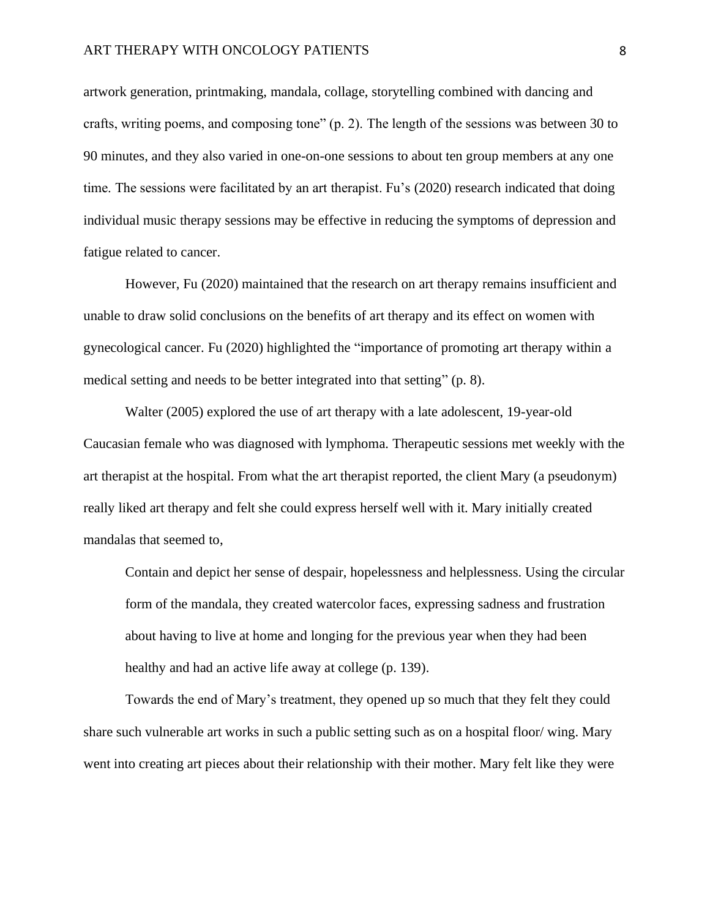#### ART THERAPY WITH ONCOLOGY PATIENTS 8

artwork generation, printmaking, mandala, collage, storytelling combined with dancing and crafts, writing poems, and composing tone" (p. 2). The length of the sessions was between 30 to 90 minutes, and they also varied in one-on-one sessions to about ten group members at any one time. The sessions were facilitated by an art therapist. Fu's (2020) research indicated that doing individual music therapy sessions may be effective in reducing the symptoms of depression and fatigue related to cancer.

However, Fu (2020) maintained that the research on art therapy remains insufficient and unable to draw solid conclusions on the benefits of art therapy and its effect on women with gynecological cancer. Fu (2020) highlighted the "importance of promoting art therapy within a medical setting and needs to be better integrated into that setting" (p. 8).

Walter (2005) explored the use of art therapy with a late adolescent, 19-year-old Caucasian female who was diagnosed with lymphoma. Therapeutic sessions met weekly with the art therapist at the hospital. From what the art therapist reported, the client Mary (a pseudonym) really liked art therapy and felt she could express herself well with it. Mary initially created mandalas that seemed to,

Contain and depict her sense of despair, hopelessness and helplessness. Using the circular form of the mandala, they created watercolor faces, expressing sadness and frustration about having to live at home and longing for the previous year when they had been healthy and had an active life away at college (p. 139).

Towards the end of Mary's treatment, they opened up so much that they felt they could share such vulnerable art works in such a public setting such as on a hospital floor/ wing. Mary went into creating art pieces about their relationship with their mother. Mary felt like they were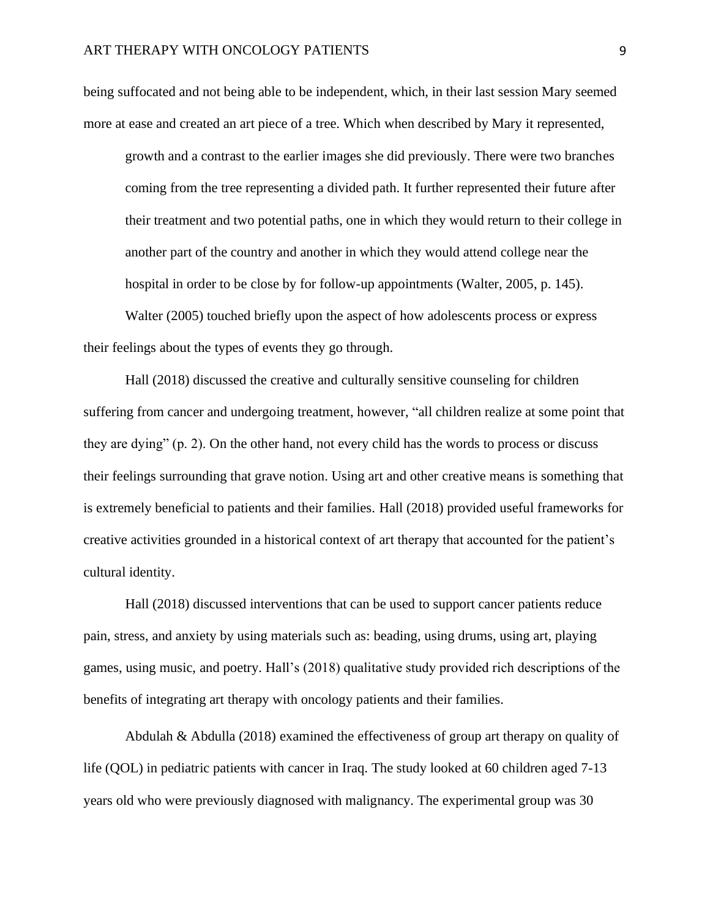being suffocated and not being able to be independent, which, in their last session Mary seemed more at ease and created an art piece of a tree. Which when described by Mary it represented,

growth and a contrast to the earlier images she did previously. There were two branches coming from the tree representing a divided path. It further represented their future after their treatment and two potential paths, one in which they would return to their college in another part of the country and another in which they would attend college near the hospital in order to be close by for follow-up appointments (Walter, 2005, p. 145).

Walter (2005) touched briefly upon the aspect of how adolescents process or express their feelings about the types of events they go through.

Hall (2018) discussed the creative and culturally sensitive counseling for children suffering from cancer and undergoing treatment, however, "all children realize at some point that they are dying" (p. 2). On the other hand, not every child has the words to process or discuss their feelings surrounding that grave notion. Using art and other creative means is something that is extremely beneficial to patients and their families. Hall (2018) provided useful frameworks for creative activities grounded in a historical context of art therapy that accounted for the patient's cultural identity.

Hall (2018) discussed interventions that can be used to support cancer patients reduce pain, stress, and anxiety by using materials such as: beading, using drums, using art, playing games, using music, and poetry. Hall's (2018) qualitative study provided rich descriptions of the benefits of integrating art therapy with oncology patients and their families.

Abdulah & Abdulla (2018) examined the effectiveness of group art therapy on quality of life (QOL) in pediatric patients with cancer in Iraq. The study looked at 60 children aged 7-13 years old who were previously diagnosed with malignancy. The experimental group was 30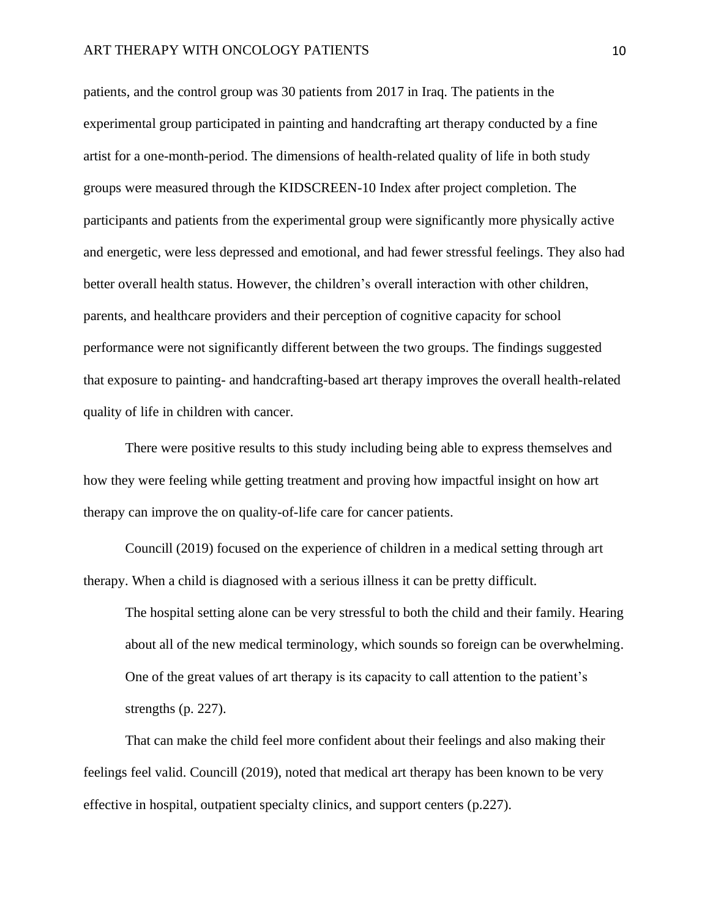patients, and the control group was 30 patients from 2017 in Iraq. The patients in the experimental group participated in painting and handcrafting art therapy conducted by a fine artist for a one-month-period. The dimensions of health-related quality of life in both study groups were measured through the KIDSCREEN-10 Index after project completion. The participants and patients from the experimental group were significantly more physically active and energetic, were less depressed and emotional, and had fewer stressful feelings. They also had better overall health status. However, the children's overall interaction with other children, parents, and healthcare providers and their perception of cognitive capacity for school performance were not significantly different between the two groups. The findings suggested that exposure to painting- and handcrafting-based art therapy improves the overall health-related quality of life in children with cancer.

There were positive results to this study including being able to express themselves and how they were feeling while getting treatment and proving how impactful insight on how art therapy can improve the on quality-of-life care for cancer patients.

Councill (2019) focused on the experience of children in a medical setting through art therapy. When a child is diagnosed with a serious illness it can be pretty difficult.

The hospital setting alone can be very stressful to both the child and their family. Hearing about all of the new medical terminology, which sounds so foreign can be overwhelming. One of the great values of art therapy is its capacity to call attention to the patient's strengths (p. 227).

That can make the child feel more confident about their feelings and also making their feelings feel valid. Councill (2019), noted that medical art therapy has been known to be very effective in hospital, outpatient specialty clinics, and support centers (p.227).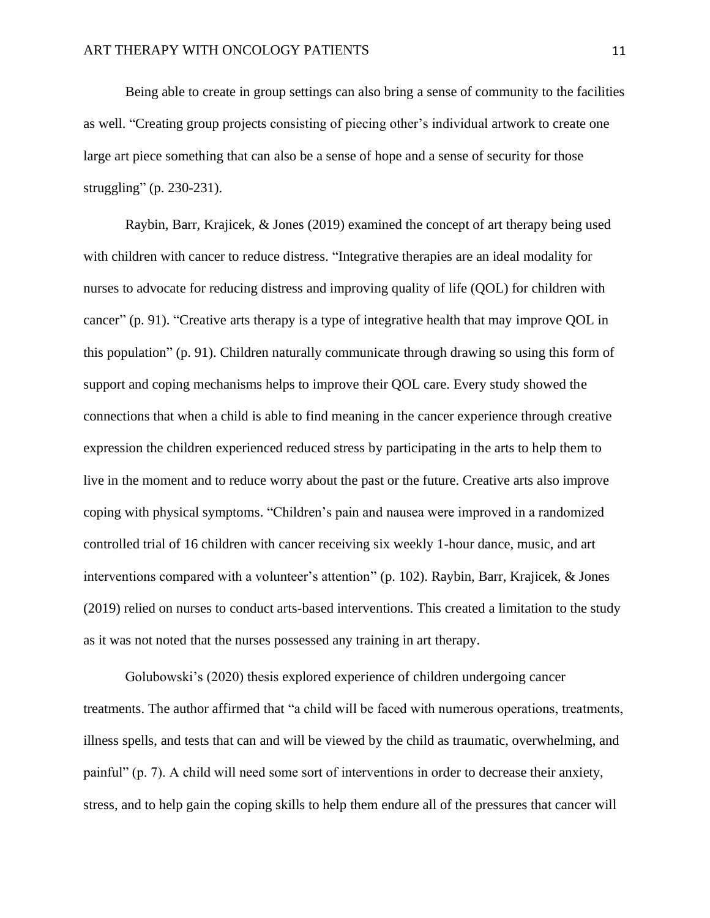Being able to create in group settings can also bring a sense of community to the facilities as well. "Creating group projects consisting of piecing other's individual artwork to create one large art piece something that can also be a sense of hope and a sense of security for those struggling" (p. 230-231).

Raybin, Barr, Krajicek, & Jones (2019) examined the concept of art therapy being used with children with cancer to reduce distress. "Integrative therapies are an ideal modality for nurses to advocate for reducing distress and improving quality of life (QOL) for children with cancer" (p. 91). "Creative arts therapy is a type of integrative health that may improve QOL in this population" (p. 91). Children naturally communicate through drawing so using this form of support and coping mechanisms helps to improve their QOL care. Every study showed the connections that when a child is able to find meaning in the cancer experience through creative expression the children experienced reduced stress by participating in the arts to help them to live in the moment and to reduce worry about the past or the future. Creative arts also improve coping with physical symptoms. "Children's pain and nausea were improved in a randomized controlled trial of 16 children with cancer receiving six weekly 1-hour dance, music, and art interventions compared with a volunteer's attention" (p. 102). Raybin, Barr, Krajicek, & Jones (2019) relied on nurses to conduct arts-based interventions. This created a limitation to the study as it was not noted that the nurses possessed any training in art therapy.

Golubowski's (2020) thesis explored experience of children undergoing cancer treatments. The author affirmed that "a child will be faced with numerous operations, treatments, illness spells, and tests that can and will be viewed by the child as traumatic, overwhelming, and painful" (p. 7). A child will need some sort of interventions in order to decrease their anxiety, stress, and to help gain the coping skills to help them endure all of the pressures that cancer will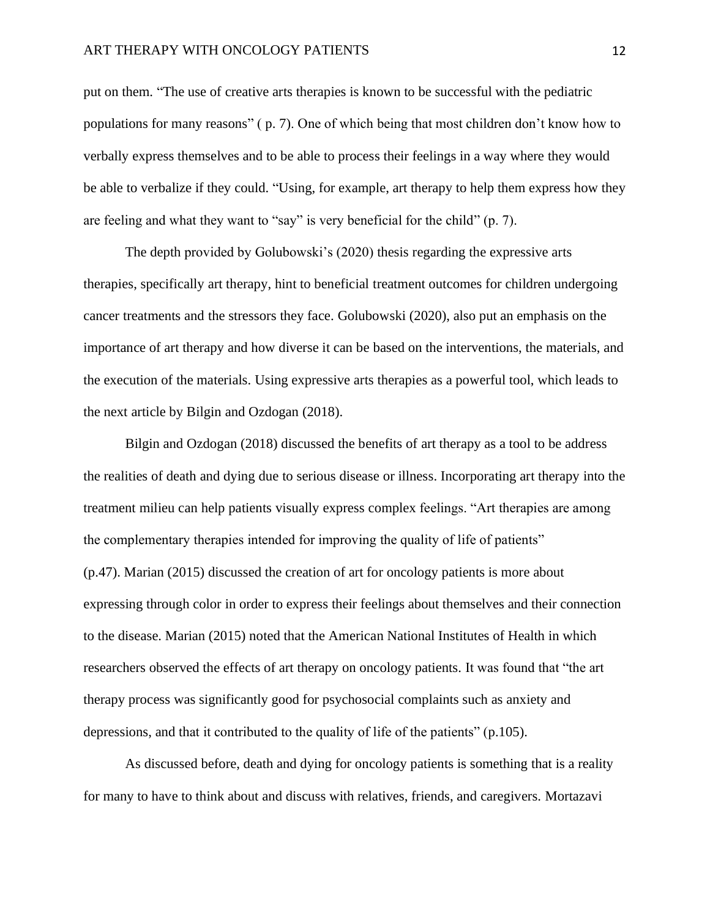#### ART THERAPY WITH ONCOLOGY PATIENTS 12

put on them. "The use of creative arts therapies is known to be successful with the pediatric populations for many reasons" ( p. 7). One of which being that most children don't know how to verbally express themselves and to be able to process their feelings in a way where they would be able to verbalize if they could. "Using, for example, art therapy to help them express how they are feeling and what they want to "say" is very beneficial for the child" (p. 7).

The depth provided by Golubowski's (2020) thesis regarding the expressive arts therapies, specifically art therapy, hint to beneficial treatment outcomes for children undergoing cancer treatments and the stressors they face. Golubowski (2020), also put an emphasis on the importance of art therapy and how diverse it can be based on the interventions, the materials, and the execution of the materials. Using expressive arts therapies as a powerful tool, which leads to the next article by Bilgin and Ozdogan (2018).

Bilgin and Ozdogan (2018) discussed the benefits of art therapy as a tool to be address the realities of death and dying due to serious disease or illness. Incorporating art therapy into the treatment milieu can help patients visually express complex feelings. "Art therapies are among the complementary therapies intended for improving the quality of life of patients" (p.47). Marian (2015) discussed the creation of art for oncology patients is more about expressing through color in order to express their feelings about themselves and their connection to the disease. Marian (2015) noted that the American National Institutes of Health in which researchers observed the effects of art therapy on oncology patients. It was found that "the art therapy process was significantly good for psychosocial complaints such as anxiety and depressions, and that it contributed to the quality of life of the patients" (p.105).

As discussed before, death and dying for oncology patients is something that is a reality for many to have to think about and discuss with relatives, friends, and caregivers. Mortazavi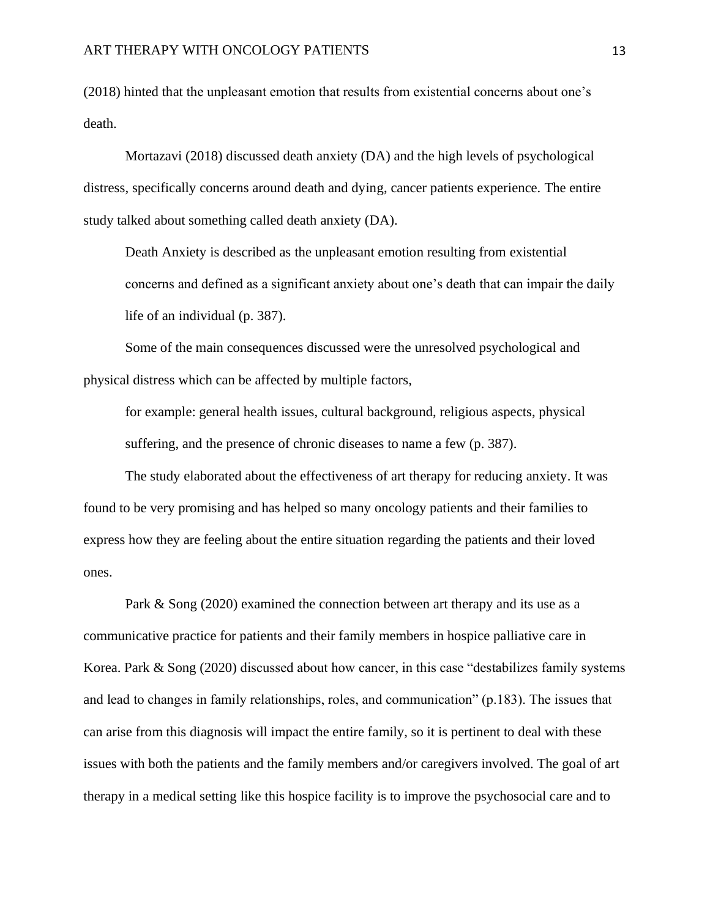(2018) hinted that the unpleasant emotion that results from existential concerns about one's death.

Mortazavi (2018) discussed death anxiety (DA) and the high levels of psychological distress, specifically concerns around death and dying, cancer patients experience. The entire study talked about something called death anxiety (DA).

Death Anxiety is described as the unpleasant emotion resulting from existential concerns and defined as a significant anxiety about one's death that can impair the daily life of an individual (p. 387).

Some of the main consequences discussed were the unresolved psychological and physical distress which can be affected by multiple factors,

for example: general health issues, cultural background, religious aspects, physical suffering, and the presence of chronic diseases to name a few (p. 387).

The study elaborated about the effectiveness of art therapy for reducing anxiety. It was found to be very promising and has helped so many oncology patients and their families to express how they are feeling about the entire situation regarding the patients and their loved ones.

Park & Song (2020) examined the connection between art therapy and its use as a communicative practice for patients and their family members in hospice palliative care in Korea. Park & Song (2020) discussed about how cancer, in this case "destabilizes family systems and lead to changes in family relationships, roles, and communication" (p.183). The issues that can arise from this diagnosis will impact the entire family, so it is pertinent to deal with these issues with both the patients and the family members and/or caregivers involved. The goal of art therapy in a medical setting like this hospice facility is to improve the psychosocial care and to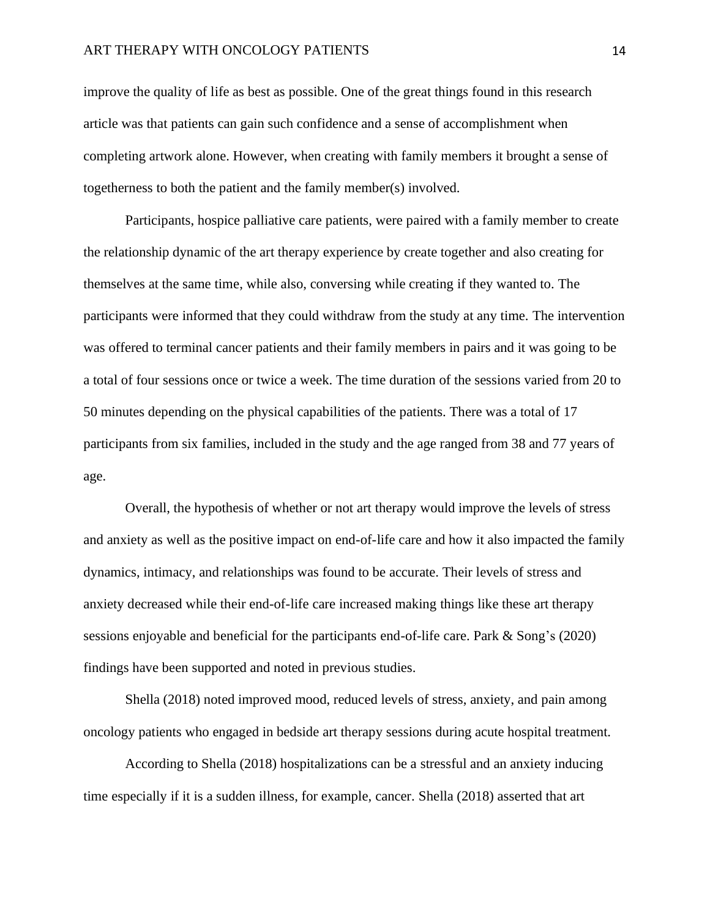improve the quality of life as best as possible. One of the great things found in this research article was that patients can gain such confidence and a sense of accomplishment when completing artwork alone. However, when creating with family members it brought a sense of togetherness to both the patient and the family member(s) involved.

Participants, hospice palliative care patients, were paired with a family member to create the relationship dynamic of the art therapy experience by create together and also creating for themselves at the same time, while also, conversing while creating if they wanted to. The participants were informed that they could withdraw from the study at any time. The intervention was offered to terminal cancer patients and their family members in pairs and it was going to be a total of four sessions once or twice a week. The time duration of the sessions varied from 20 to 50 minutes depending on the physical capabilities of the patients. There was a total of 17 participants from six families, included in the study and the age ranged from 38 and 77 years of age.

Overall, the hypothesis of whether or not art therapy would improve the levels of stress and anxiety as well as the positive impact on end-of-life care and how it also impacted the family dynamics, intimacy, and relationships was found to be accurate. Their levels of stress and anxiety decreased while their end-of-life care increased making things like these art therapy sessions enjoyable and beneficial for the participants end-of-life care. Park & Song's (2020) findings have been supported and noted in previous studies.

Shella (2018) noted improved mood, reduced levels of stress, anxiety, and pain among oncology patients who engaged in bedside art therapy sessions during acute hospital treatment.

According to Shella (2018) hospitalizations can be a stressful and an anxiety inducing time especially if it is a sudden illness, for example, cancer. Shella (2018) asserted that art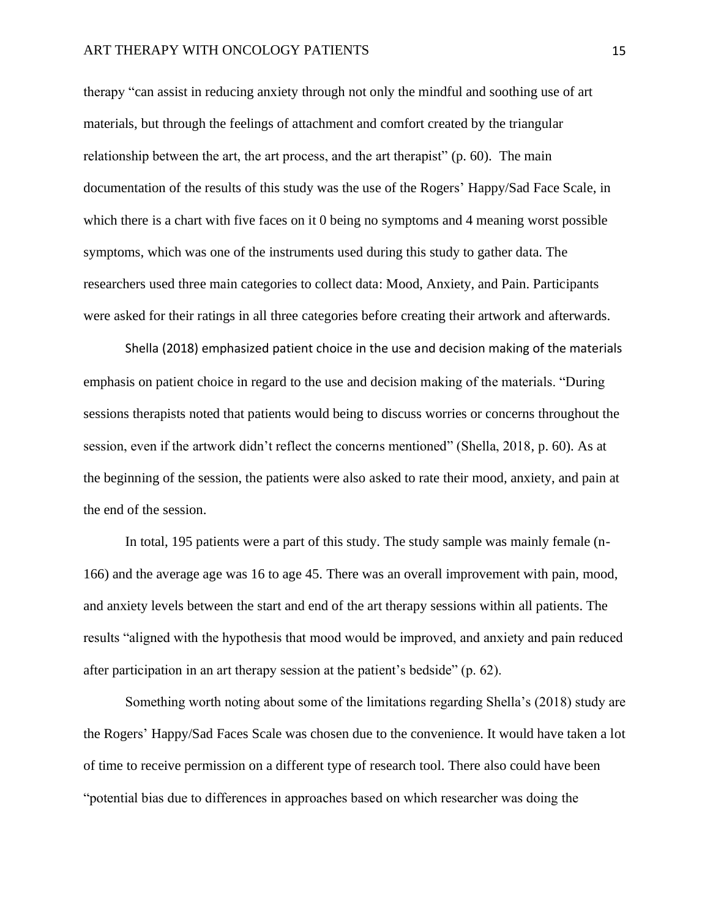#### ART THERAPY WITH ONCOLOGY PATIENTS 15

therapy "can assist in reducing anxiety through not only the mindful and soothing use of art materials, but through the feelings of attachment and comfort created by the triangular relationship between the art, the art process, and the art therapist" (p. 60). The main documentation of the results of this study was the use of the Rogers' Happy/Sad Face Scale, in which there is a chart with five faces on it 0 being no symptoms and 4 meaning worst possible symptoms, which was one of the instruments used during this study to gather data. The researchers used three main categories to collect data: Mood, Anxiety, and Pain. Participants were asked for their ratings in all three categories before creating their artwork and afterwards.

Shella (2018) emphasized patient choice in the use and decision making of the materials emphasis on patient choice in regard to the use and decision making of the materials. "During sessions therapists noted that patients would being to discuss worries or concerns throughout the session, even if the artwork didn't reflect the concerns mentioned" (Shella, 2018, p. 60). As at the beginning of the session, the patients were also asked to rate their mood, anxiety, and pain at the end of the session.

In total, 195 patients were a part of this study. The study sample was mainly female (n-166) and the average age was 16 to age 45. There was an overall improvement with pain, mood, and anxiety levels between the start and end of the art therapy sessions within all patients. The results "aligned with the hypothesis that mood would be improved, and anxiety and pain reduced after participation in an art therapy session at the patient's bedside" (p. 62).

Something worth noting about some of the limitations regarding Shella's (2018) study are the Rogers' Happy/Sad Faces Scale was chosen due to the convenience. It would have taken a lot of time to receive permission on a different type of research tool. There also could have been "potential bias due to differences in approaches based on which researcher was doing the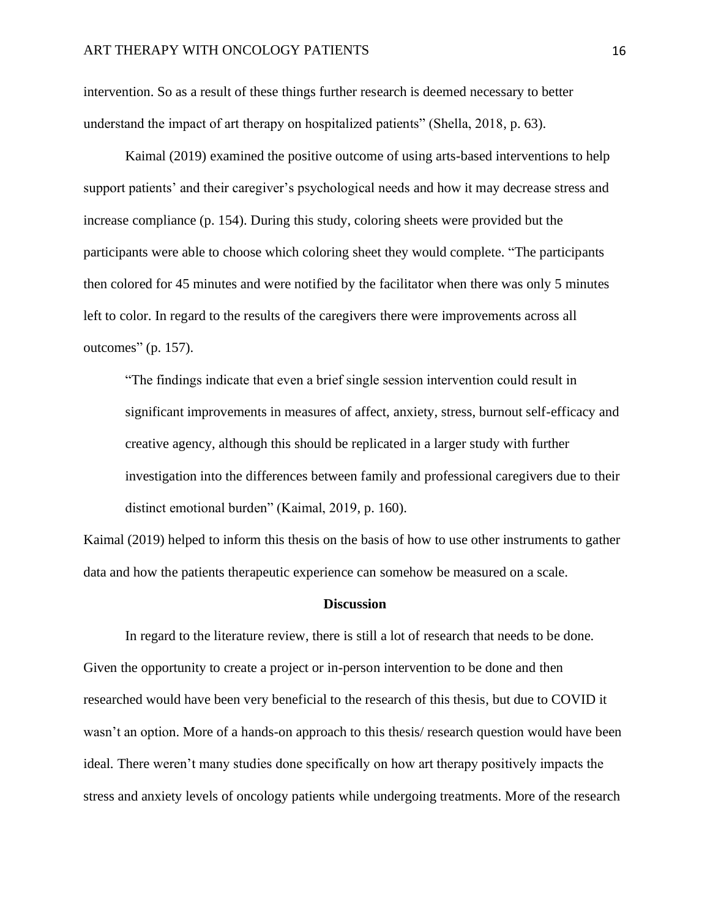intervention. So as a result of these things further research is deemed necessary to better understand the impact of art therapy on hospitalized patients" (Shella, 2018, p. 63).

Kaimal (2019) examined the positive outcome of using arts-based interventions to help support patients' and their caregiver's psychological needs and how it may decrease stress and increase compliance (p. 154). During this study, coloring sheets were provided but the participants were able to choose which coloring sheet they would complete. "The participants then colored for 45 minutes and were notified by the facilitator when there was only 5 minutes left to color. In regard to the results of the caregivers there were improvements across all outcomes" (p. 157).

"The findings indicate that even a brief single session intervention could result in significant improvements in measures of affect, anxiety, stress, burnout self-efficacy and creative agency, although this should be replicated in a larger study with further investigation into the differences between family and professional caregivers due to their distinct emotional burden" (Kaimal, 2019, p. 160).

Kaimal (2019) helped to inform this thesis on the basis of how to use other instruments to gather data and how the patients therapeutic experience can somehow be measured on a scale.

#### **Discussion**

In regard to the literature review, there is still a lot of research that needs to be done. Given the opportunity to create a project or in-person intervention to be done and then researched would have been very beneficial to the research of this thesis, but due to COVID it wasn't an option. More of a hands-on approach to this thesis/ research question would have been ideal. There weren't many studies done specifically on how art therapy positively impacts the stress and anxiety levels of oncology patients while undergoing treatments. More of the research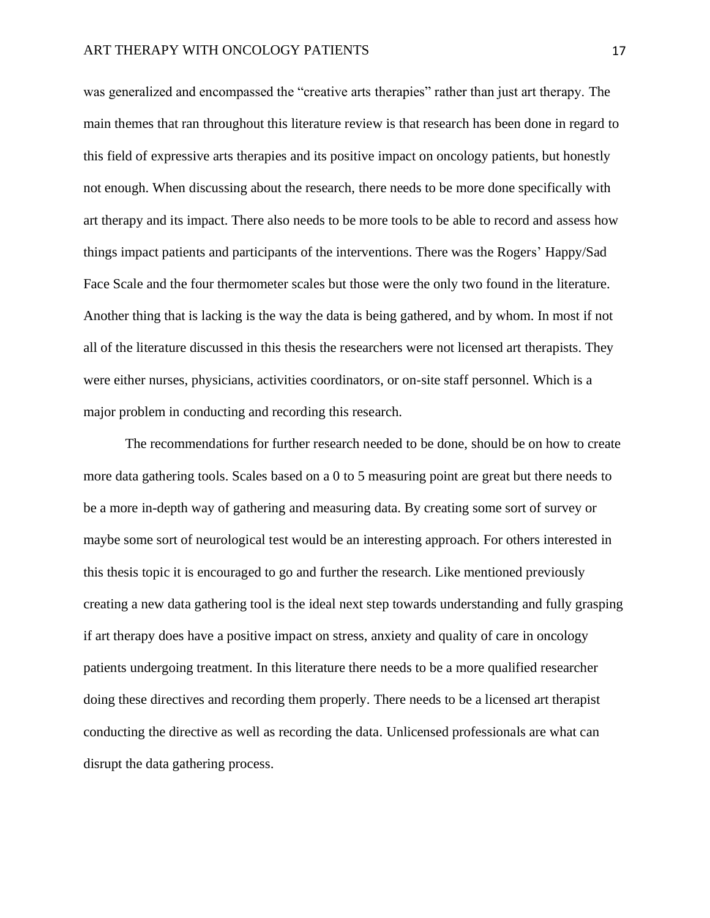was generalized and encompassed the "creative arts therapies" rather than just art therapy. The main themes that ran throughout this literature review is that research has been done in regard to this field of expressive arts therapies and its positive impact on oncology patients, but honestly not enough. When discussing about the research, there needs to be more done specifically with art therapy and its impact. There also needs to be more tools to be able to record and assess how things impact patients and participants of the interventions. There was the Rogers' Happy/Sad Face Scale and the four thermometer scales but those were the only two found in the literature. Another thing that is lacking is the way the data is being gathered, and by whom. In most if not all of the literature discussed in this thesis the researchers were not licensed art therapists. They were either nurses, physicians, activities coordinators, or on-site staff personnel. Which is a major problem in conducting and recording this research.

The recommendations for further research needed to be done, should be on how to create more data gathering tools. Scales based on a 0 to 5 measuring point are great but there needs to be a more in-depth way of gathering and measuring data. By creating some sort of survey or maybe some sort of neurological test would be an interesting approach. For others interested in this thesis topic it is encouraged to go and further the research. Like mentioned previously creating a new data gathering tool is the ideal next step towards understanding and fully grasping if art therapy does have a positive impact on stress, anxiety and quality of care in oncology patients undergoing treatment. In this literature there needs to be a more qualified researcher doing these directives and recording them properly. There needs to be a licensed art therapist conducting the directive as well as recording the data. Unlicensed professionals are what can disrupt the data gathering process.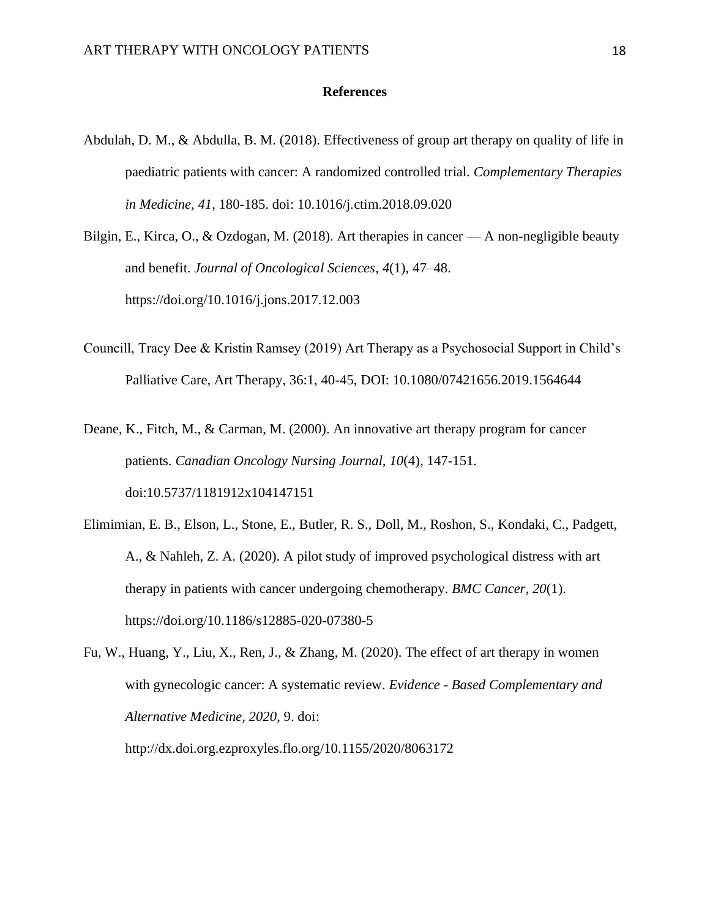#### **References**

- Abdulah, D. M., & Abdulla, B. M. (2018). Effectiveness of group art therapy on quality of life in paediatric patients with cancer: A randomized controlled trial. *Complementary Therapies in Medicine, 41*, 180-185. doi: 10.1016/j.ctim.2018.09.020
- Bilgin, E., Kirca, O., & Ozdogan, M. (2018). Art therapies in cancer A non-negligible beauty and benefit. *Journal of Oncological Sciences*, *4*(1), 47–48. https://doi.org/10.1016/j.jons.2017.12.003
- Councill, Tracy Dee & Kristin Ramsey (2019) Art Therapy as a Psychosocial Support in Child's Palliative Care, Art Therapy, 36:1, 40-45, DOI: 10.1080/07421656.2019.1564644
- Deane, K., Fitch, M., & Carman, M. (2000). An innovative art therapy program for cancer patients. *Canadian Oncology Nursing Journal, 10*(4), 147-151. doi:10.5737/1181912x104147151
- Elimimian, E. B., Elson, L., Stone, E., Butler, R. S., Doll, M., Roshon, S., Kondaki, C., Padgett, A., & Nahleh, Z. A. (2020). A pilot study of improved psychological distress with art therapy in patients with cancer undergoing chemotherapy. *BMC Cancer*, *20*(1). https://doi.org/10.1186/s12885-020-07380-5
- Fu, W., Huang, Y., Liu, X., Ren, J., & Zhang, M. (2020). The effect of art therapy in women with gynecologic cancer: A systematic review. *Evidence - Based Complementary and Alternative Medicine, 2020*, 9. doi: http://dx.doi.org.ezproxyles.flo.org/10.1155/2020/8063172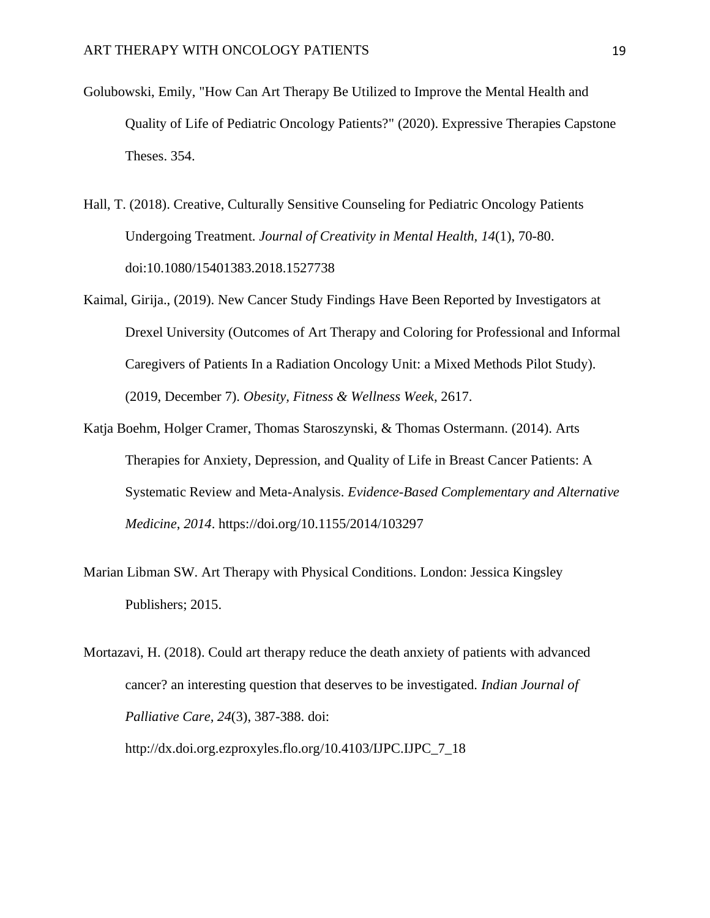- Golubowski, Emily, "How Can Art Therapy Be Utilized to Improve the Mental Health and Quality of Life of Pediatric Oncology Patients?" (2020). Expressive Therapies Capstone Theses. 354.
- Hall, T. (2018). Creative, Culturally Sensitive Counseling for Pediatric Oncology Patients Undergoing Treatment. *Journal of Creativity in Mental Health, 14*(1), 70-80. doi:10.1080/15401383.2018.1527738
- Kaimal, Girija., (2019). New Cancer Study Findings Have Been Reported by Investigators at Drexel University (Outcomes of Art Therapy and Coloring for Professional and Informal Caregivers of Patients In a Radiation Oncology Unit: a Mixed Methods Pilot Study). (2019, December 7). *Obesity, Fitness & Wellness Week*, 2617.
- Katia Boehm, Holger Cramer, Thomas Staroszynski, & Thomas Ostermann. (2014). Arts Therapies for Anxiety, Depression, and Quality of Life in Breast Cancer Patients: A Systematic Review and Meta-Analysis. *Evidence-Based Complementary and Alternative Medicine*, *2014*. https://doi.org/10.1155/2014/103297
- Marian Libman SW. Art Therapy with Physical Conditions. London: Jessica Kingsley Publishers; 2015.

Mortazavi, H. (2018). Could art therapy reduce the death anxiety of patients with advanced cancer? an interesting question that deserves to be investigated. *Indian Journal of Palliative Care, 24*(3), 387-388. doi: http://dx.doi.org.ezproxyles.flo.org/10.4103/IJPC.IJPC\_7\_18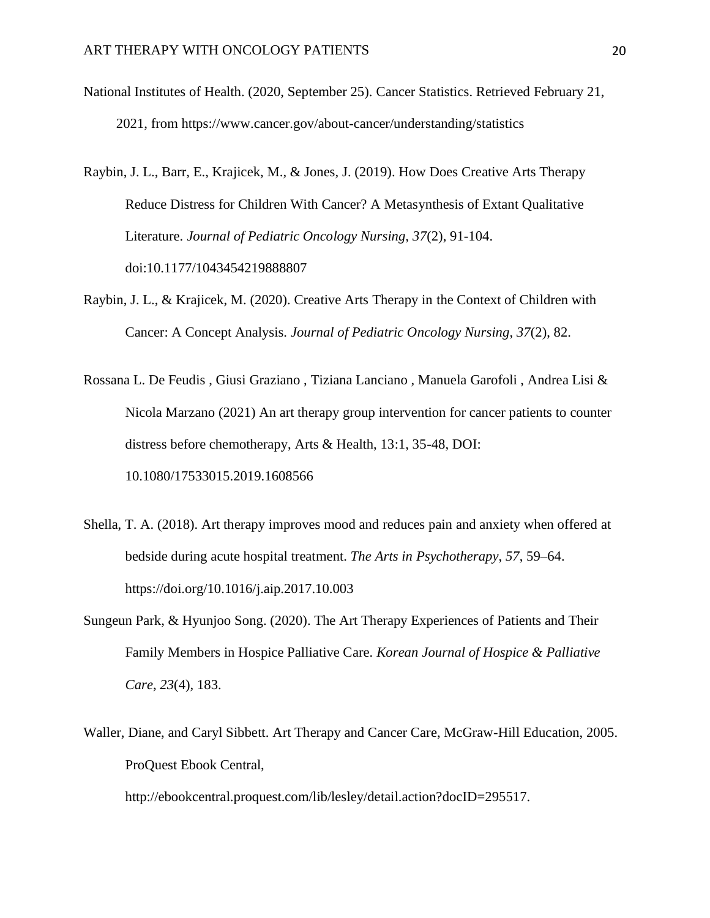- National Institutes of Health. (2020, September 25). Cancer Statistics. Retrieved February 21, 2021, from https://www.cancer.gov/about-cancer/understanding/statistics
- Raybin, J. L., Barr, E., Krajicek, M., & Jones, J. (2019). How Does Creative Arts Therapy Reduce Distress for Children With Cancer? A Metasynthesis of Extant Qualitative Literature. *Journal of Pediatric Oncology Nursing, 37*(2), 91-104. doi:10.1177/1043454219888807
- Raybin, J. L., & Krajicek, M. (2020). Creative Arts Therapy in the Context of Children with Cancer: A Concept Analysis. *Journal of Pediatric Oncology Nursing*, *37*(2), 82.
- Rossana L. De Feudis , Giusi Graziano , Tiziana Lanciano , Manuela Garofoli , Andrea Lisi & Nicola Marzano (2021) An art therapy group intervention for cancer patients to counter distress before chemotherapy, Arts & Health, 13:1, 35-48, DOI: 10.1080/17533015.2019.1608566
- Shella, T. A. (2018). Art therapy improves mood and reduces pain and anxiety when offered at bedside during acute hospital treatment. *The Arts in Psychotherapy*, *57*, 59–64. https://doi.org/10.1016/j.aip.2017.10.003
- Sungeun Park, & Hyunjoo Song. (2020). The Art Therapy Experiences of Patients and Their Family Members in Hospice Palliative Care. *Korean Journal of Hospice & Palliative Care*, *23*(4), 183.
- Waller, Diane, and Caryl Sibbett. Art Therapy and Cancer Care, McGraw-Hill Education, 2005. ProQuest Ebook Central,

http://ebookcentral.proquest.com/lib/lesley/detail.action?docID=295517.